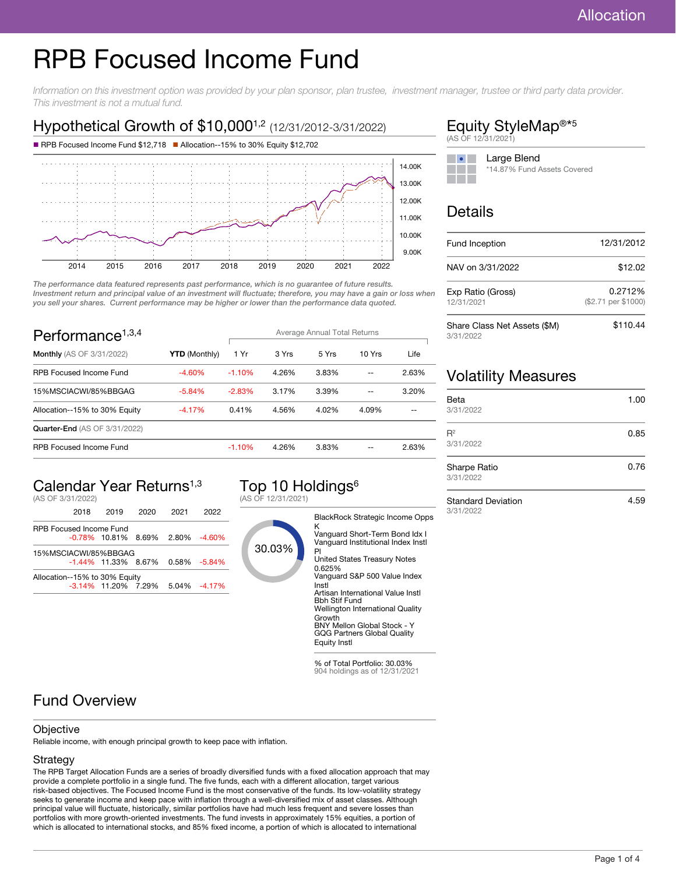# RPB Focused Income Fund

Information on this investment option was provided by your plan sponsor, plan trustee, investment manager, trustee or third party data provider. This investment is not a mutual fund.

# Hypothetical Growth of \$10,000<sup>1,2</sup> (12/31/2012-3/31/2022)





The performance data featured represents past performance, which is no guarantee of future results. Investment return and principal value of an investment will fluctuate; therefore, you may have a gain or loss when you sell your shares. Current performance may be higher or lower than the performance data quoted.

| Performance <sup><math>1,3,4</math></sup> |                      | Average Annual Total Returns |       |       |        |       |
|-------------------------------------------|----------------------|------------------------------|-------|-------|--------|-------|
| <b>Monthly</b> (AS OF 3/31/2022)          | <b>YTD</b> (Monthly) | 1 Yr                         | 3 Yrs | 5 Yrs | 10 Yrs | Life  |
| <b>RPB Focused Income Fund</b>            | $-4.60\%$            | $-1.10%$                     | 4.26% | 3.83% |        | 2.63% |
| 15%MSCIACWI/85%BBGAG                      | $-5.84%$             | $-2.83%$                     | 3.17% | 3.39% | --     | 3.20% |
| Allocation--15% to 30% Equity             | $-4.17%$             | 0.41%                        | 4.56% | 4.02% | 4.09%  |       |
| <b>Quarter-End (AS OF 3/31/2022)</b>      |                      |                              |       |       |        |       |
| <b>RPB Focused Income Fund</b>            |                      | $-1.10%$                     | 4.26% | 3.83% |        | 2.63% |

# Calendar Year Returns<sup>1,3</sup>

(AS OF 3/31/2022)

|                                | 2018 | 2019                                   | 2020 | 2021 | 2022             |
|--------------------------------|------|----------------------------------------|------|------|------------------|
| <b>RPB Focused Income Fund</b> |      |                                        |      |      |                  |
|                                |      | $-0.78\%$ 10.81% 8.69% 2.80% $-4.60\%$ |      |      |                  |
| 15%MSCIACWI/85%BBGAG           |      |                                        |      |      |                  |
|                                |      | $-1.44\%$ 11.33% 8.67% 0.58% $-5.84\%$ |      |      |                  |
| Allocation--15% to 30% Equity  |      |                                        |      |      |                  |
|                                |      | $-3.14\%$ 11.20% 7.29%                 |      |      | $5.04\% -4.17\%$ |
|                                |      |                                        |      |      |                  |

# Top 10 Holdings<sup>6</sup>

(AS OF 12/31/2021)



904 holdings as of 12/31/2021

#### Equity StyleMap<sup>®\*5</sup> (AS OF 12/31/2021)



# Details

| Fund Inception                            | 12/31/2012                     |  |  |
|-------------------------------------------|--------------------------------|--|--|
| NAV on 3/31/2022                          | \$12.02                        |  |  |
| Exp Ratio (Gross)<br>12/31/2021           | 0.2712%<br>(\$2.71 per \$1000) |  |  |
| Share Class Net Assets (\$M)<br>3/31/2022 | \$110.44                       |  |  |

## Volatility Measures

| Beta<br>3/31/2022         | 1.00 |
|---------------------------|------|
| $R^2$<br>3/31/2022        | 0.85 |
| Sharpe Ratio<br>3/31/2022 | 0.76 |

Standard Deviation 3/31/2022

4.59

# Fund Overview

#### **Objective**

Reliable income, with enough principal growth to keep pace with inflation.

#### **Strategy**

The RPB Target Allocation Funds are a series of broadly diversified funds with a fixed allocation approach that may provide a complete portfolio in a single fund. The five funds, each with a different allocation, target various risk-based objectives. The Focused Income Fund is the most conservative of the funds. Its low-volatility strategy seeks to generate income and keep pace with inflation through a well-diversified mix of asset classes. Although principal value will fluctuate, historically, similar portfolios have had much less frequent and severe losses than portfolios with more growth-oriented investments. The fund invests in approximately 15% equities, a portion of which is allocated to international stocks, and 85% fixed income, a portion of which is allocated to international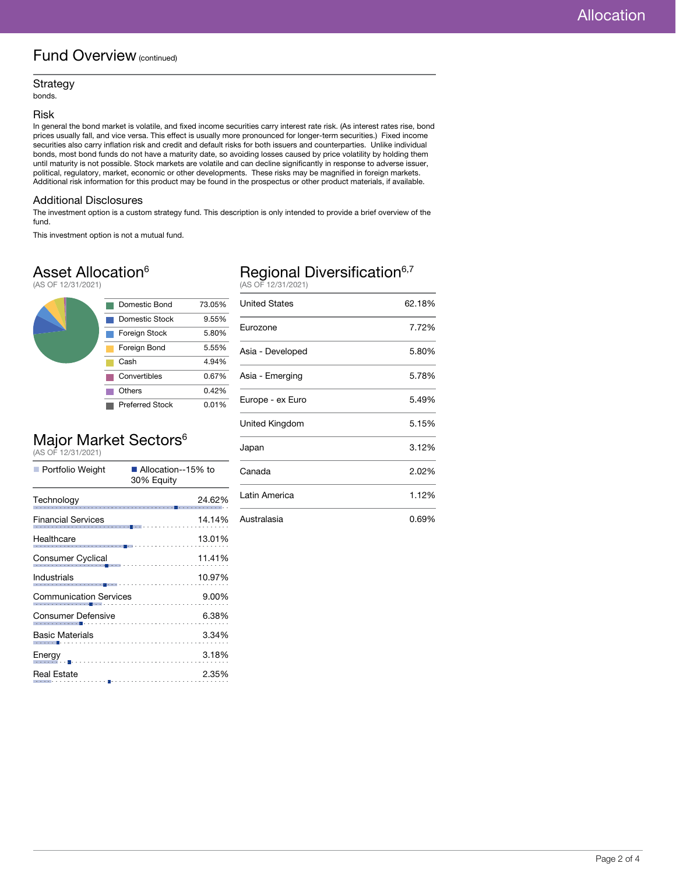### Fund Overview (continued)

#### Strategy

bonds.

#### Risk

In general the bond market is volatile, and fixed income securities carry interest rate risk. (As interest rates rise, bond prices usually fall, and vice versa. This effect is usually more pronounced for longer-term securities.) Fixed income securities also carry inflation risk and credit and default risks for both issuers and counterparties. Unlike individual bonds, most bond funds do not have a maturity date, so avoiding losses caused by price volatility by holding them until maturity is not possible. Stock markets are volatile and can decline significantly in response to adverse issuer, political, regulatory, market, economic or other developments. These risks may be magnified in foreign markets. Additional risk information for this product may be found in the prospectus or other product materials, if available.

#### Additional Disclosures

The investment option is a custom strategy fund. This description is only intended to provide a brief overview of the fund.

This investment option is not a mutual fund.

### Asset Allocation<sup>6</sup>

(AS OF 12/31/2021)



# Major Market Sectors<sup>6</sup><br>(AS OF 12/31/2021)

| Portfolio Weight               | ■ Allocation--15% to<br>30% Equity                               |  |  |
|--------------------------------|------------------------------------------------------------------|--|--|
| Technology                     | 24.62%                                                           |  |  |
| <b>Financial Services</b>      | 14.14%<br>.                                                      |  |  |
| Healthcare                     | 13.01%                                                           |  |  |
| <b>Consumer Cyclical</b>       | 11.41%<br>.                                                      |  |  |
| Industrials                    | 10.97%<br>110<br> --------- <mark>-</mark> --------------------- |  |  |
| <b>Communication Services</b>  | 9.00%                                                            |  |  |
| Consumer Defensive             | 6.38%                                                            |  |  |
| Basic Materials                | 3.34%                                                            |  |  |
| Energy<br>———————————————————— | 3.18%                                                            |  |  |
| Real Estate                    | 2.35%                                                            |  |  |

# Regional Diversification<sup>6,7</sup><br>(AS OF 12/31/2021)

| <b>United States</b> | 62.18% |
|----------------------|--------|
| Eurozone             | 7.72%  |
| Asia - Developed     | 5.80%  |
| Asia - Emerging      | 5.78%  |
| Europe - ex Euro     | 5.49%  |
| United Kingdom       | 5.15%  |
| Japan                | 3.12%  |
| Canada               | 2.02%  |
| Latin America        | 1.12%  |
| Australasia          | 0.69%  |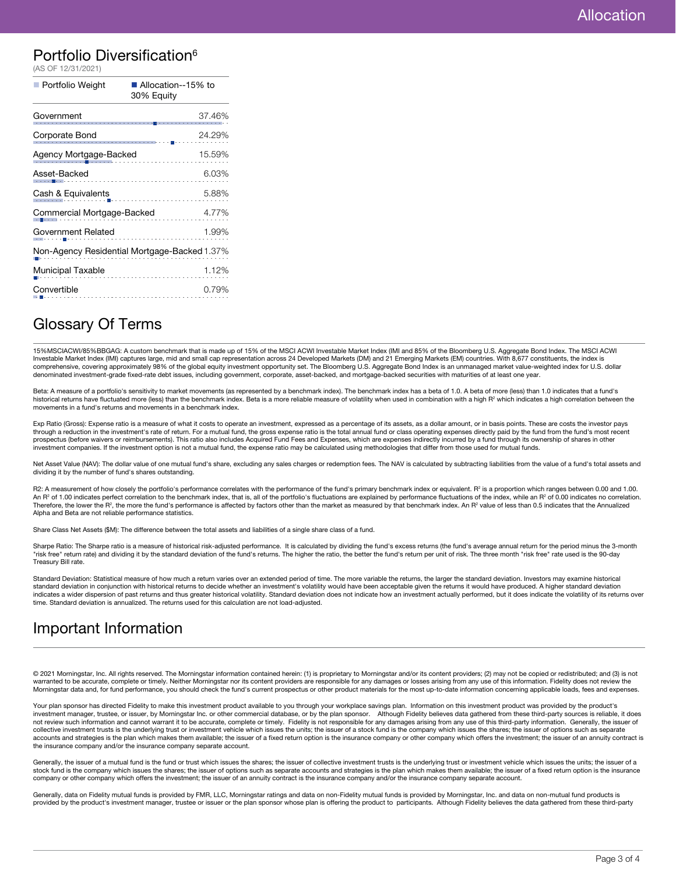### Portfolio Diversification<sup>6</sup>

| (AS OF 12/31/2021)         |                                              |
|----------------------------|----------------------------------------------|
| Portfolio Weight           | ■ Allocation--15% to<br>30% Equity           |
| Government                 | 37.46%                                       |
| Corporate Bond             | 24.29%                                       |
| Agency Mortgage-Backed     | 15.59%                                       |
| Asset-Backed               | 6.03%                                        |
| Cash & Equivalents         | 5.88%                                        |
| Commercial Mortgage-Backed | 4.77%                                        |
| Government Related         | 1.99%                                        |
|                            | Non-Agency Residential Mortgage-Backed 1.37% |
| <b>Municipal Taxable</b>   | 1.12%                                        |
| Convertible                | 0.79%                                        |
|                            |                                              |

### Glossary Of Terms

15%MSCIACWI/85%BBGAG: A custom benchmark that is made up of 15% of the MSCI ACWI Investable Market Index (IMI and 85% of the Bloomberg U.S. Aggregate Bond Index. The MSCI ACWI<br>Investable Market Index (IMI) captures large, comprehensive, covering approximately 98% of the global equity investment opportunity set. The Bloomberg U.S. Aggregate Bond Index is an unmanaged market value-weighted index for U.S. dollar denominated investment-grade fixed-rate debt issues, including government, corporate, asset-backed, and mortgage-backed securities with maturities of at least one year.

Beta: A measure of a portfolio's sensitivity to market movements (as represented by a benchmark index). The benchmark index has a beta of 1.0. A beta of more (less) than 1.0 indicates that a fund's historical returns have fluctuated more (less) than the benchmark index. Beta is a more reliable measure of volatility when used in combination with a high R<sup>2</sup> which indicates a high correlation between the movements in a fund's returns and movements in a benchmark index.

Exp Ratio (Gross): Expense ratio is a measure of what it costs to operate an investment, expressed as a percentage of its assets, as a dollar amount, or in basis points. These are costs the investor pays through a reduction in the investment's rate of return. For a mutual fund, the gross expense ratio is the total annual fund or class operating expenses directly paid by the fund from the fund's most recent prospectus (before waivers or reimbursements). This ratio also includes Acquired Fund Fees and Expenses, which are expenses indirectly incurred by a fund through its ownership of shares in other investment companies. If the investment option is not a mutual fund, the expense ratio may be calculated using methodologies that differ from those used for mutual funds.

Net Asset Value (NAV): The dollar value of one mutual fund's share, excluding any sales charges or redemption fees. The NAV is calculated by subtracting liabilities from the value of a fund's total assets and dividing it by the number of fund's shares outstanding.

R2: A measurement of how closely the portfolio's performance correlates with the performance of the fund's primary benchmark index or equivalent. R<sup>2</sup> is a proportion which ranges between 0.00 and 1.00. An R<sup>2</sup> of 1.00 indicates perfect correlation to the benchmark index, that is, all of the portfolio's fluctuations are explained by performance fluctuations of the index, while an R<sup>2</sup> of 0.00 indicates no correlation. Therefore, the lower the R<sup>2</sup>, the more the fund's performance is affected by factors other than the market as measured by that benchmark index. An R<sup>2</sup> value of less than 0.5 indicates that the Annualized Alpha and Beta are not reliable performance statistics.

Share Class Net Assets (\$M): The difference between the total assets and liabilities of a single share class of a fund.

Sharpe Ratio: The Sharpe ratio is a measure of historical risk-adjusted performance. It is calculated by dividing the fund's excess returns (the fund's average annual return for the period minus the 3-month<br>"risk free" ret Treasury Bill rate.

Standard Deviation: Statistical measure of how much a return varies over an extended period of time. The more variable the returns, the larger the standard deviation. Investors may examine historical standard deviation in conjunction with historical returns to decide whether an investment's volatility would have been acceptable given the returns it would have produced. A higher standard deviation indicates a wider dispersion of past returns and thus greater historical volatility. Standard deviation does not indicate how an investment actually performed, but it does indicate the volatility of its returns over time. Standard deviation is annualized. The returns used for this calculation are not load-adjusted.

### Important Information

© 2021 Morningstar, Inc. All rights reserved. The Morningstar information contained herein: (1) is proprietary to Morningstar and/or its content providers; (2) may not be copied or redistributed; and (3) is not warranted to be accurate, complete or timely. Neither Morningstar nor its content providers are responsible for any damages or losses arising from any use of this information. Fidelity does not review the Morningstar data and, for fund performance, you should check the fund's current prospectus or other product materials for the most up-to-date information concerning applicable loads, fees and expenses.

Your plan sponsor has directed Fidelity to make this investment product available to you through your workplace savings plan. Information on this investment product was provided by the product's investment manager, trustee, or issuer, by Morningstar Inc. or other commercial database, or by the plan sponsor. Although Fidelity believes data gathered from these third-party sources is reliable, it does not review such information and cannot warrant it to be accurate, complete or timely. Fidelity is not responsible for any damages arising from any use of this third-party information. Generally, the issuer of collective investment trusts is the underlying trust or investment vehicle which issues the units; the issuer of a stock fund is the company which issues the shares; the issuer of options such as separate<br>accounts and stra the insurance company and/or the insurance company separate account.

Generally, the issuer of a mutual fund is the fund or trust which issues the shares; the issuer of collective investment trusts is the underlying trust or investment vehicle which issues the units; the issuer of a stock fund is the company which issues the shares; the issuer of options such as separate accounts and strategies is the plan which makes them available; the issuer of a fixed return option is the insurance<br>company or othe

Generally, data on Fidelity mutual funds is provided by FMR, LLC, Morningstar ratings and data on non-Fidelity mutual funds is provided by Morningstar, Inc. and data on non-mutual fund products is provided by the product's investment manager, trustee or issuer or the plan sponsor whose plan is offering the product to participants. Although Fidelity believes the data gathered from these third-party